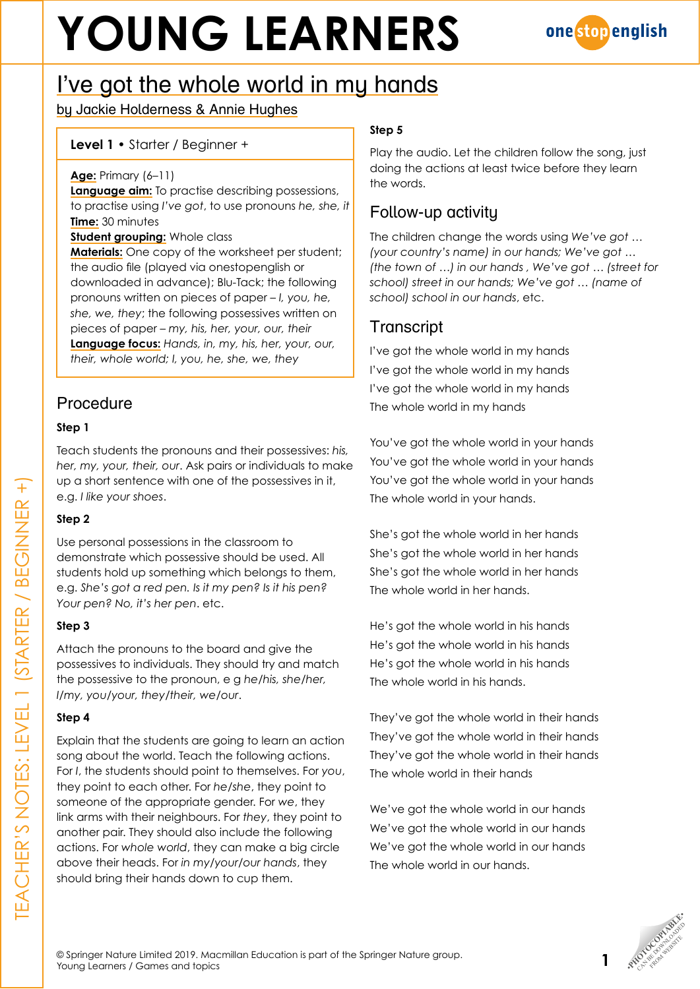# **YOUNG LEARNERS**



# I've got the whole world in my hands

by Jackie Holderness & Annie Hughes

#### **Level 1** • Starter / Beginner +

#### **Age:** Primary (6–11)

**Language aim:** To practise describing possessions, to practise using *I've got*, to use pronouns *he, she, it* **Time:** 30 minutes

#### **Student grouping:** Whole class

**Materials:** One copy of the worksheet per student; the audio file (played via onestopenglish or downloaded in advance); Blu-Tack; the following pronouns written on pieces of paper – *I, you, he, she, we, they*; the following possessives written on pieces of paper – *my, his, her, your, our, their* **Language focus:** *Hands, in, my, his, her, your, our, their, whole world; I, you, he, she, we, they*

### Procedure

#### **Step 1**

Teach students the pronouns and their possessives: *his, her, my, your, their, our*. Ask pairs or individuals to make up a short sentence with one of the possessives in it, e.g. *I like your shoes*.

#### **Step 2**

Use personal possessions in the classroom to demonstrate which possessive should be used. All students hold up something which belongs to them, e.g. *She's got a red pen. Is it my pen? Is it his pen? Your pen? No, it's her pen*. etc.

#### **Step 3**

Attach the pronouns to the board and give the possessives to individuals. They should try and match the possessive to the pronoun, e g *he/his, she/her, I/my, you/your, they/their, we/our*.

#### **Step 4**

Explain that the students are going to learn an action song about the world. Teach the following actions. For *I*, the students should point to themselves. For *you*, they point to each other. For *he/she*, they point to someone of the appropriate gender. For *we*, they link arms with their neighbours. For *they*, they point to another pair. They should also include the following actions. For *whole world*, they can make a big circle above their heads. For *in my/your/our hands*, they should bring their hands down to cup them.

#### **Step 5**

Play the audio. Let the children follow the song, just doing the actions at least twice before they learn the words.

## Follow-up activity

The children change the words using *We've got … (your country's name) in our hands; We've got … (the town of …) in our hands , We've got … (street for school) street in our hands; We've got … (name of school) school in our hands*, etc.

### **Transcript**

I've got the whole world in my hands I've got the whole world in my hands I've got the whole world in my hands The whole world in my hands

You've got the whole world in your hands You've got the whole world in your hands You've got the whole world in your hands The whole world in your hands.

She's got the whole world in her hands She's got the whole world in her hands She's got the whole world in her hands The whole world in her hands.

He's got the whole world in his hands He's got the whole world in his hands He's got the whole world in his hands The whole world in his hands.

They've got the whole world in their hands They've got the whole world in their hands They've got the whole world in their hands The whole world in their hands

We've got the whole world in our hands We've got the whole world in our hands We've got the whole world in our hands The whole world in our hands.